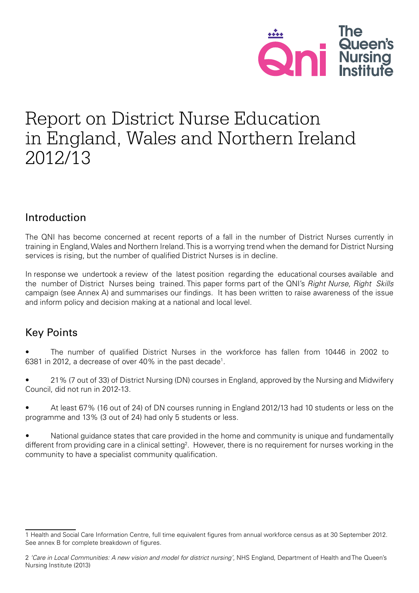

# Report on District Nurse Education in England, Wales and Northern Ireland 2012/13

# Introduction

The QNI has become concerned at recent reports of a fall in the number of District Nurses currently in training in England, Wales and Northern Ireland. This is a worrying trend when the demand for District Nursing services is rising, but the number of qualified District Nurses is in decline.

In response we undertook a review of the latest position regarding the educational courses available and the number of District Nurses being trained. This paper forms part of the QNI's *Right Nurse, Right Skills*  campaign (see Annex A) and summarises our findings. It has been written to raise awareness of the issue and inform policy and decision making at a national and local level.

# Key Points

The number of qualified District Nurses in the workforce has fallen from 10446 in 2002 to 6381 in 2012, a decrease of over 40% in the past decade<sup>1</sup>.

21% (7 out of 33) of District Nursing (DN) courses in England, approved by the Nursing and Midwifery Council, did not run in 2012-13.

At least 67% (16 out of 24) of DN courses running in England 2012/13 had 10 students or less on the programme and 13% (3 out of 24) had only 5 students or less.

National guidance states that care provided in the home and community is unique and fundamentally different from providing care in a clinical setting<sup>2</sup>. However, there is no requirement for nurses working in the community to have a specialist community qualification.

<sup>1</sup> Health and Social Care Information Centre, full time equivalent figures from annual workforce census as at 30 September 2012. See annex B for complete breakdown of figures.

<sup>2</sup> *'Care in Local Communities: A new vision and model for district nursing'*, NHS England, Department of Health and The Queen's Nursing Institute (2013)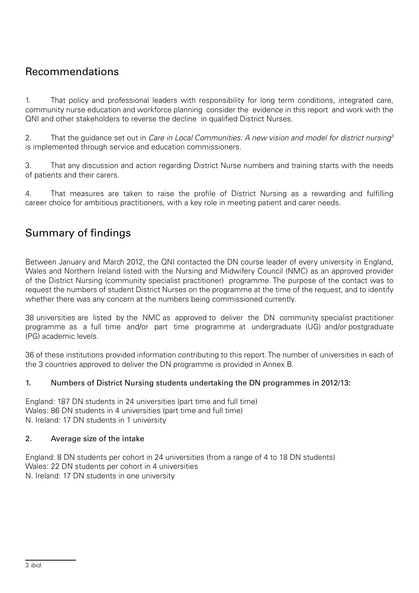# Recommendations

1. That policy and professional leaders with responsibility for long term conditions, integrated care, community nurse education and workforce planning consider the evidence in this report and work with the QNI and other stakeholders to reverse the decline in qualified District Nurses.

2. That the guidance set out in *Care in Local Communities: A new vision and model for district nursing3* is implemented through service and education commissioners.

3. That any discussion and action regarding District Nurse numbers and training starts with the needs of patients and their carers.

4. That measures are taken to raise the profile of District Nursing as a rewarding and fulfilling career choice for ambitious practitioners, with a key role in meeting patient and carer needs.

# Summary of findings

Between January and March 2012, the QNI contacted the DN course leader of every university in England, Wales and Northern Ireland listed with the Nursing and Midwifery Council (NMC) as an approved provider of the District Nursing (community specialist practitioner) programme. The purpose of the contact was to request the numbers of student District Nurses on the programme at the time of the request, and to identify whether there was any concern at the numbers being commissioned currently.

38 universities are listed by the NMC as approved to deliver the DN community specialist practitioner programme as a full time and/or part time programme at undergraduate (UG) and/or postgraduate (PG) academic levels.

36 of these institutions provided information contributing to this report. The number of universities in each of the 3 countries approved to deliver the DN programme is provided in Annex B.

#### 1. Numbers of District Nursing students undertaking the DN programmes in 2012/13:

England: 187 DN students in 24 universities (part time and full time) Wales: 86 DN students in 4 universities (part time and full time) N. Ireland: 17 DN students in 1 university

#### 2. Average size of the intake

England: 8 DN students per cohort in 24 universities (from a range of 4 to 18 DN students) Wales: 22 DN students per cohort in 4 universities N. Ireland: 17 DN students in one university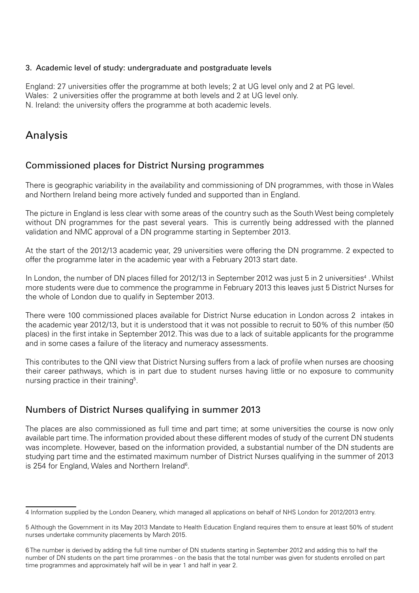#### 3. Academic level of study: undergraduate and postgraduate levels

England: 27 universities offer the programme at both levels; 2 at UG level only and 2 at PG level. Wales: 2 universities offer the programme at both levels and 2 at UG level only. N. Ireland: the university offers the programme at both academic levels.

# Analysis

## Commissioned places for District Nursing programmes

There is geographic variability in the availability and commissioning of DN programmes, with those in Wales and Northern Ireland being more actively funded and supported than in England.

The picture in England is less clear with some areas of the country such as the South West being completely without DN programmes for the past several years. This is currently being addressed with the planned validation and NMC approval of a DN programme starting in September 2013.

At the start of the 2012/13 academic year, 29 universities were offering the DN programme. 2 expected to offer the programme later in the academic year with a February 2013 start date.

In London, the number of DN places filled for 2012/13 in September 2012 was just 5 in 2 universities<sup>4</sup>. Whilst more students were due to commence the programme in February 2013 this leaves just 5 District Nurses for the whole of London due to qualify in September 2013.

There were 100 commissioned places available for District Nurse education in London across 2 intakes in the academic year 2012/13, but it is understood that it was not possible to recruit to 50% of this number (50 places) in the first intake in September 2012. This was due to a lack of suitable applicants for the programme and in some cases a failure of the literacy and numeracy assessments.

This contributes to the QNI view that District Nursing suffers from a lack of profile when nurses are choosing their career pathways, which is in part due to student nurses having little or no exposure to community nursing practice in their training<sup>5</sup>.

## Numbers of District Nurses qualifying in summer 2013

The places are also commissioned as full time and part time; at some universities the course is now only available part time. The information provided about these different modes of study of the current DN students was incomplete. However, based on the information provided, a substantial number of the DN students are studying part time and the estimated maximum number of District Nurses qualifying in the summer of 2013 is 254 for England, Wales and Northern Ireland $6$ .

<sup>4</sup> Information supplied by the London Deanery, which managed all applications on behalf of NHS London for 2012/2013 entry.

<sup>5</sup> Although the Government in its May 2013 Mandate to Health Education England requires them to ensure at least 50% of student nurses undertake community placements by March 2015.

<sup>6</sup> The number is derived by adding the full time number of DN students starting in September 2012 and adding this to half the number of DN students on the part time prorammes - on the basis that the total number was given for students enrolled on part time programmes and approximately half will be in year 1 and half in year 2.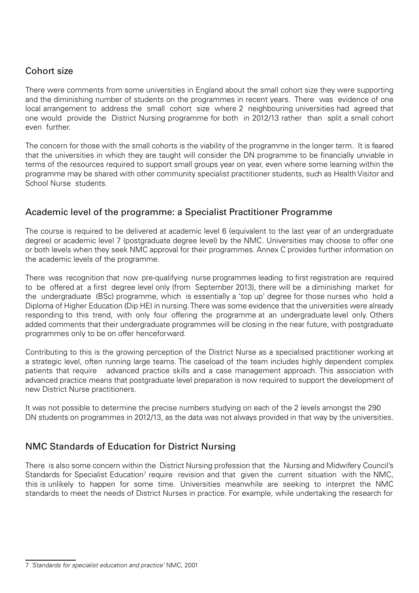## Cohort size

There were comments from some universities in England about the small cohort size they were supporting and the diminishing number of students on the programmes in recent years. There was evidence of one local arrangement to address the small cohort size where 2 neighbouring universities had agreed that one would provide the District Nursing programme for both in 2012/13 rather than split a small cohort even further.

The concern for those with the small cohorts is the viability of the programme in the longer term. It is feared that the universities in which they are taught will consider the DN programme to be financially unviable in terms of the resources required to support small groups year on year, even where some learning within the programme may be shared with other community specialist practitioner students, such as Health Visitor and School Nurse students.

## Academic level of the programme: a Specialist Practitioner Programme

The course is required to be delivered at academic level 6 (equivalent to the last year of an undergraduate degree) or academic level 7 (postgraduate degree level) by the NMC. Universities may choose to offer one or both levels when they seek NMC approval for their programmes. Annex C provides further information on the academic levels of the programme.

There was recognition that now pre-qualifying nurse programmes leading to first registration are required to be offered at a first degree level only (from September 2013), there will be a diminishing market for the undergraduate (BSc) programme, which is essentially a 'top up' degree for those nurses who hold a Diploma of Higher Education (Dip HE) in nursing. There was some evidence that the universities were already responding to this trend, with only four offering the programme at an undergraduate level only. Others added comments that their undergraduate programmes will be closing in the near future, with postgraduate programmes only to be on offer henceforward.

Contributing to this is the growing perception of the District Nurse as a specialised practitioner working at a strategic level, often running large teams. The caseload of the team includes highly dependent complex patients that require advanced practice skills and a case management approach. This association with advanced practice means that postgraduate level preparation is now required to support the development of new District Nurse practitioners.

It was not possible to determine the precise numbers studying on each of the 2 levels amongst the 290 DN students on programmes in 2012/13, as the data was not always provided in that way by the universities.

## NMC Standards of Education for District Nursing

There is also some concern within the District Nursing profession that the Nursing and Midwifery Council's Standards for Specialist Education<sup>7</sup> require revision and that given the current situation with the NMC, this is unlikely to happen for some time. Universities meanwhile are seeking to interpret the NMC standards to meet the needs of District Nurses in practice. For example, while undertaking the research for

<sup>7</sup> *'Standards for specialist education and practice'* NMC, 2001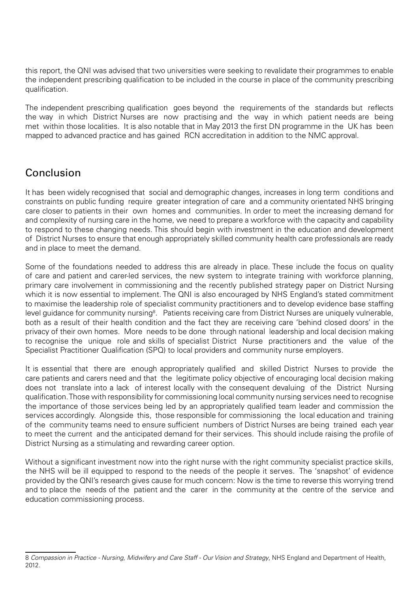this report, the QNI was advised that two universities were seeking to revalidate their programmes to enable the independent prescribing qualification to be included in the course in place of the community prescribing qualification.

The independent prescribing qualification goes beyond the requirements of the standards but reflects the way in which District Nurses are now practising and the way in which patient needs are being met within those localities. It is also notable that in May 2013 the first DN programme in the UK has been mapped to advanced practice and has gained RCN accreditation in addition to the NMC approval.

# Conclusion

It has been widely recognised that social and demographic changes, increases in long term conditions and constraints on public funding require greater integration of care and a community orientated NHS bringing care closer to patients in their own homes and communities. In order to meet the increasing demand for and complexity of nursing care in the home, we need to prepare a workforce with the capacity and capability to respond to these changing needs. This should begin with investment in the education and development of District Nurses to ensure that enough appropriately skilled community health care professionals are ready and in place to meet the demand.

Some of the foundations needed to address this are already in place. These include the focus on quality of care and patient and carer-led services, the new system to integrate training with workforce planning, primary care involvement in commissioning and the recently published strategy paper on District Nursing which it is now essential to implement. The QNI is also encouraged by NHS England's stated commitment to maximise the leadership role of specialist community practitioners and to develop evidence base staffing level guidance for community nursing<sup>8</sup>. Patients receiving care from District Nurses are uniquely vulnerable, both as a result of their health condition and the fact they are receiving care 'behind closed doors' in the privacy of their own homes. More needs to be done through national leadership and local decision making to recognise the unique role and skills of specialist District Nurse practitioners and the value of the Specialist Practitioner Qualification (SPQ) to local providers and community nurse employers.

It is essential that there are enough appropriately qualified and skilled District Nurses to provide the care patients and carers need and that the legitimate policy objective of encouraging local decision making does not translate into a lack of interest locally with the consequent devaluing of the District Nursing qualification. Those with responsibility for commissioning local community nursing services need to recognise the importance of those services being led by an appropriately qualified team leader and commission the services accordingly. Alongside this, those responsible for commissioning the local education and training of the community teams need to ensure sufficient numbers of District Nurses are being trained each year to meet the current and the anticipated demand for their services. This should include raising the profile of District Nursing as a stimulating and rewarding career option.

Without a significant investment now into the right nurse with the right community specialist practice skills, the NHS will be ill equipped to respond to the needs of the people it serves. The 'snapshot' of evidence provided by the QNI's research gives cause for much concern: Now is the time to reverse this worrying trend and to place the needs of the patient and the carer in the community at the centre of the service and education commissioning process.

<sup>8</sup> *Compassion in Practice - Nursing, Midwifery and Care Staff - Our Vision and Strategy*, NHS England and Department of Health, 2012.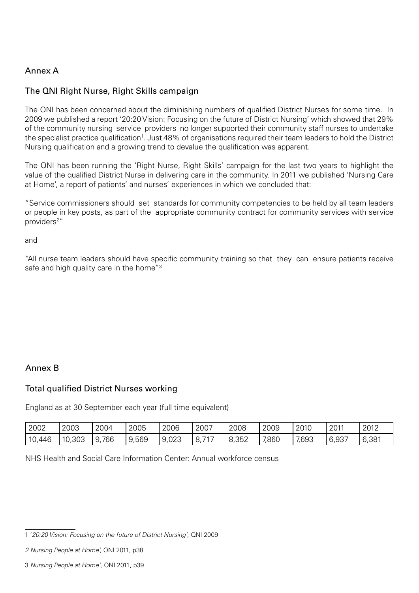### Annex A

### The QNI Right Nurse, Right Skills campaign

The QNI has been concerned about the diminishing numbers of qualified District Nurses for some time. In 2009 we published a report '20:20 Vision: Focusing on the future of District Nursing' which showed that 29% of the community nursing service providers no longer supported their community staff nurses to undertake the specialist practice qualification<sup>1</sup>. Just 48% of organisations required their team leaders to hold the District Nursing qualification and a growing trend to devalue the qualification was apparent.

The QNI has been running the 'Right Nurse, Right Skills' campaign for the last two years to highlight the value of the qualified District Nurse in delivering care in the community. In 2011 we published 'Nursing Care at Home', a report of patients' and nurses' experiences in which we concluded that:

"Service commissioners should set standards for community competencies to be held by all team leaders or people in key posts, as part of the appropriate community contract for community services with service providers2 "

and

"All nurse team leaders should have specific community training so that they can ensure patients receive safe and high quality care in the home"<sup>3</sup>

#### Annex B

#### Total qualified District Nurses working

England as at 30 September each year (full time equivalent)

| 2002                    | 2003   | 2004  | 2005  | 2006       | 2007                            | 2008  | 2009  | 2010  | 2011  | 2012  |
|-------------------------|--------|-------|-------|------------|---------------------------------|-------|-------|-------|-------|-------|
| 10 <sub>r</sub><br>,446 | 10,303 | 9,766 | 9,569 | 9,023<br>Q | $\overline{\phantom{m}}$<br>Ō., | 8,352 | 7,860 | 7,693 | 6,937 | 6,381 |

NHS Health and Social Care Information Center: Annual workforce census

<sup>1 &#</sup>x27;*20:20 Vision: Focusing on the future of District Nursing'*, QNI 2009

*<sup>2</sup> Nursing People at Home',* QNI 2011, p38

<sup>3</sup> *Nursing People at Home'*, QNI 2011, p39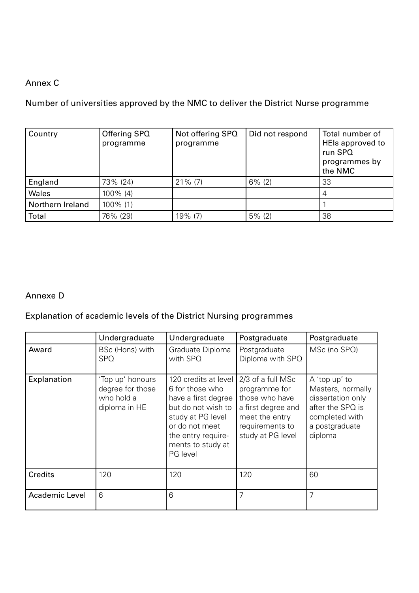## Annex C

Number of universities approved by the NMC to deliver the District Nurse programme

| Country          | Offering SPQ<br>programme | Not offering SPQ<br>programme | Did not respond | Total number of<br>HEIs approved to<br>run SPQ<br>programmes by<br>the NMC |
|------------------|---------------------------|-------------------------------|-----------------|----------------------------------------------------------------------------|
| England          | 73% (24)                  | $21\%$ (7)                    | $6\%$ (2)       | 33                                                                         |
| Wales            | 100% (4)                  |                               |                 |                                                                            |
| Northern Ireland | 100% (1)                  |                               |                 |                                                                            |
| Total            | 76% (29)                  | 19% (7)                       | $5\%$ (2)       | 38                                                                         |

#### Annexe D

## Explanation of academic levels of the District Nursing programmes

|                | Undergraduate                                                       | Undergraduate                                                                                                                                                                      | Postgraduate                                                                                                                         | Postgraduate                                                                                                               |
|----------------|---------------------------------------------------------------------|------------------------------------------------------------------------------------------------------------------------------------------------------------------------------------|--------------------------------------------------------------------------------------------------------------------------------------|----------------------------------------------------------------------------------------------------------------------------|
| Award          | BSc (Hons) with<br><b>SPQ</b>                                       | Graduate Diploma<br>with SPQ                                                                                                                                                       | Postgraduate<br>Diploma with SPQ                                                                                                     | MSc (no SPQ)                                                                                                               |
| Explanation    | 'Top up' honours<br>degree for those<br>who hold a<br>diploma in HE | 120 credits at level<br>6 for those who<br>have a first degree<br>but do not wish to<br>study at PG level<br>or do not meet<br>the entry require-<br>ments to study at<br>PG level | 2/3 of a full MSc<br>programme for<br>those who have<br>a first degree and<br>meet the entry<br>requirements to<br>study at PG level | A 'top up' to<br>Masters, normally<br>dissertation only<br>after the SPQ is<br>completed with<br>a postgraduate<br>diploma |
| <b>Credits</b> | 120                                                                 | 120                                                                                                                                                                                | 120                                                                                                                                  | 60                                                                                                                         |
| Academic Level | 6                                                                   | 6                                                                                                                                                                                  | 7                                                                                                                                    | 7                                                                                                                          |